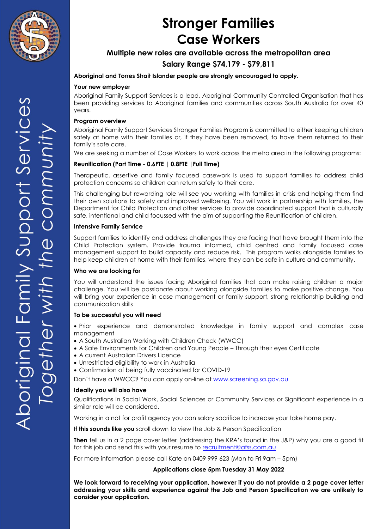

### **Multiple new roles are available across the metropolitan area**

### **Salary Range \$74,179 - \$79,811**

### **Aboriginal and Torres Strait Islander people are strongly encouraged to apply.**

#### **Your new employer**

Aboriginal Family Support Services is a lead, Aboriginal Community Controlled Organisation that has been providing services to Aboriginal families and communities across South Australia for over 40 years.

### **Program overview**

Aboriginal Family Support Services Stronger Families Program is committed to either keeping children safely at home with their families or, if they have been removed, to have them returned to their family's safe care.

We are seeking a number of Case Workers to work across the metro area in the following programs:

### **Reunification (Part Time - 0.6FTE | 0.8FTE |Full Time)**

Therapeutic, assertive and family focused casework is used to support families to address child protection concerns so children can return safely to their care.

This challenging but rewarding role will see you working with families in crisis and helping them find their own solutions to safety and improved wellbeing. You will work in partnership with families, the Department for Child Protection and other services to provide coordinated support that is culturally safe, intentional and child focussed with the aim of supporting the Reunification of children.

### **Intensive Family Service**

Support families to identify and address challenges they are facing that have brought them into the Child Protection system. Provide trauma informed, child centred and family focused case management support to build capacity and reduce risk. This program walks alongside families to help keep children at home with their families, where they can be safe in culture and community.

### **Who we are looking for**

You will understand the issues facing Aboriginal families that can make raising children a major challenge. You will be passionate about working alongside families to make positive change. You will bring your experience in case management or family support, strong relationship building and communication skills

### **To be successful you will need**

- Prior experience and demonstrated knowledge in family support and complex case management
- A South Australian Working with Children Check (WWCC)
- A Safe Environments for Children and Young People Through their eyes Certificate
- A current Australian Drivers Licence
- Unrestricted eligibility to work in Australia
- Confirmation of being fully vaccinated for COVID-19

Don't have a WWCC? You can apply on-line a[t www.screening.sa.gov.au](http://www.screening.sa.gov.au/)

### **Ideally you will also have**

Qualifications in Social Work, Social Sciences or Community Services or Significant experience in a similar role will be considered.

Working in a not for profit agency you can salary sacrifice to increase your take home pay.

**If this sounds like you** scroll down to view the Job & Person Specification

**Then** tell us in a 2 page cover letter (addressing the KRA's found in the J&P) why you are a good fit for this job and send this with your resume to [recruitment@afss.com.au](mailto:recruitment@afss.com.au)

For more information please call Kate on 0409 999 623 (Mon to Fri 9am – 5pm)

### **Applications close 5pm Tuesday 31 May 2022**

**We look forward to receiving your application, however if you do not provide a 2 page cover letter addressing your skills and experience against the Job and Person Specification we are unlikely to consider your application.**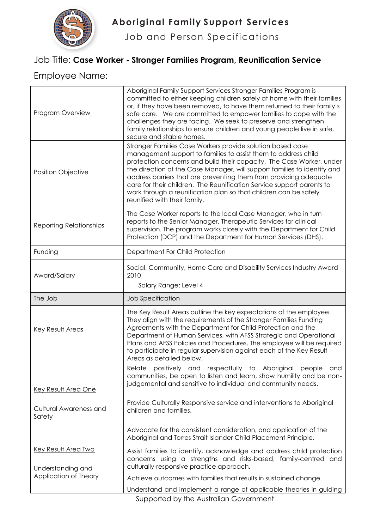

Job and Person Specifications

## Job Title: **Case Worker - Stronger Families Program, Reunification Service**

## Employee Name:

| Program Overview                           | Aboriginal Family Support Services Stronger Families Program is<br>committed to either keeping children safely at home with their families<br>or, if they have been removed, to have them returned to their family's<br>safe care. We are committed to empower families to cope with the<br>challenges they are facing. We seek to preserve and strengthen<br>family relationships to ensure children and young people live in safe,<br>secure and stable homes.                                                                   |
|--------------------------------------------|------------------------------------------------------------------------------------------------------------------------------------------------------------------------------------------------------------------------------------------------------------------------------------------------------------------------------------------------------------------------------------------------------------------------------------------------------------------------------------------------------------------------------------|
| <b>Position Objective</b>                  | Stronger Families Case Workers provide solution based case<br>management support to families to assist them to address child<br>protection concerns and build their capacity. The Case Worker, under<br>the direction of the Case Manager, will support families to identify and<br>address barriers that are preventing them from providing adequate<br>care for their children. The Reunification Service support parents to<br>work through a reunification plan so that children can be safely<br>reunified with their family. |
| <b>Reporting Relationships</b>             | The Case Worker reports to the local Case Manager, who in turn<br>reports to the Senior Manager, Therapeutic Services for clinical<br>supervision. The program works closely with the Department for Child<br>Protection (DCP) and the Department for Human Services (DHS).                                                                                                                                                                                                                                                        |
| Funding                                    | Department For Child Protection                                                                                                                                                                                                                                                                                                                                                                                                                                                                                                    |
| Award/Salary                               | Social, Community, Home Care and Disability Services Industry Award<br>2010<br>Salary Range: Level 4                                                                                                                                                                                                                                                                                                                                                                                                                               |
| The Job                                    | Job Specification                                                                                                                                                                                                                                                                                                                                                                                                                                                                                                                  |
| Key Result Areas                           | The Key Result Areas outline the key expectations of the employee.<br>They align with the requirements of the Stronger Families Funding<br>Agreements with the Department for Child Protection and the<br>Department of Human Services, with AFSS Strategic and Operational<br>Plans and AFSS Policies and Procedures. The employee will be required<br>to participate in regular supervision against each of the Key Result<br>Areas as detailed below.                                                                           |
| Key Result Area One                        | positively and respectfully to Aboriginal<br>Relate<br>people<br>and<br>communities, be open to listen and learn, show humility and be non-<br>judgemental and sensitive to individual and community needs.<br>Provide Culturally Responsive service and interventions to Aboriginal                                                                                                                                                                                                                                               |
| Cultural Awareness and<br>Safety           | children and families.                                                                                                                                                                                                                                                                                                                                                                                                                                                                                                             |
|                                            |                                                                                                                                                                                                                                                                                                                                                                                                                                                                                                                                    |
|                                            | Advocate for the consistent consideration, and application of the<br>Aboriginal and Torres Strait Islander Child Placement Principle.                                                                                                                                                                                                                                                                                                                                                                                              |
| <b>Key Result Area Two</b>                 | Assist families to identify, acknowledge and address child protection<br>concerns using a strengths and risks-based, family-centred and<br>culturally-responsive practice approach.                                                                                                                                                                                                                                                                                                                                                |
| Understanding and<br>Application of Theory | Achieve outcomes with families that results in sustained change.                                                                                                                                                                                                                                                                                                                                                                                                                                                                   |
|                                            | Understand and implement a range of applicable theories in guiding<br>Supported by the Australian Government                                                                                                                                                                                                                                                                                                                                                                                                                       |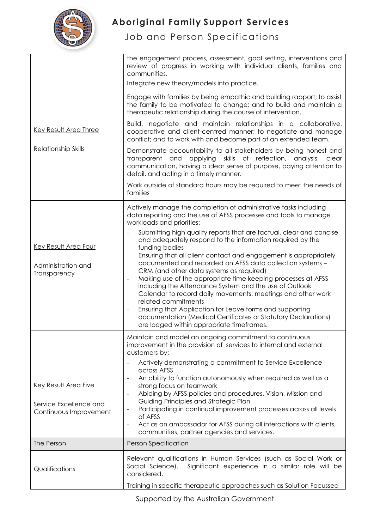

|                                                            | the engagement process, assessment, goal setting, interventions and<br>review of progress in working with individual clients, families and<br>communities.                                                                                                                                                                                                                                                                                                                                                                                                                                                                                                                                                                 |
|------------------------------------------------------------|----------------------------------------------------------------------------------------------------------------------------------------------------------------------------------------------------------------------------------------------------------------------------------------------------------------------------------------------------------------------------------------------------------------------------------------------------------------------------------------------------------------------------------------------------------------------------------------------------------------------------------------------------------------------------------------------------------------------------|
|                                                            | Integrate new theory/models into practice.                                                                                                                                                                                                                                                                                                                                                                                                                                                                                                                                                                                                                                                                                 |
|                                                            | Engage with families by being empathic and building rapport; to assist<br>the family to be motivated to change; and to build and maintain a<br>therapeutic relationship during the course of intervention.                                                                                                                                                                                                                                                                                                                                                                                                                                                                                                                 |
| Key Result Area Three                                      | Build, negotiate and maintain relationships in a collaborative,<br>cooperative and client-centred manner; to negotiate and manage<br>conflict; and to work with and become part of an extended team.                                                                                                                                                                                                                                                                                                                                                                                                                                                                                                                       |
| <b>Relationship Skills</b>                                 | Demonstrate accountability to all stakeholders by being honest and<br>transparent and applying skills of reflection, analysis,<br>clear<br>communication, having a clear sense of purpose, paying attention to<br>detail, and acting in a timely manner.                                                                                                                                                                                                                                                                                                                                                                                                                                                                   |
|                                                            | Work outside of standard hours may be required to meet the needs of<br>families                                                                                                                                                                                                                                                                                                                                                                                                                                                                                                                                                                                                                                            |
|                                                            | Actively manage the completion of administrative tasks including<br>data reporting and the use of AFSS processes and tools to manage<br>workloads and priorities:                                                                                                                                                                                                                                                                                                                                                                                                                                                                                                                                                          |
| Key Result Area Four<br>Administration and<br>Transparency | Submitting high quality reports that are factual, clear and concise<br>and adequately respond to the information required by the<br>funding bodies<br>Ensuring that all client contact and engagement is appropriately<br>documented and recorded on AFSS data collection systems -<br>CRM (and other data systems as required)<br>Making use of the appropriate time keeping processes at AFSS<br>including the Attendance System and the use of Outlook<br>Calendar to record daily movements, meetings and other work<br>related commitments<br>Ensuring that Application for Leave forms and supporting<br>documentation (Medical Certificates or Statutory Declarations)<br>are lodged within appropriate timeframes. |
|                                                            | Maintain and model an ongoing commitment to continuous<br>improvement in the provision of services to internal and external<br>customers by:                                                                                                                                                                                                                                                                                                                                                                                                                                                                                                                                                                               |
|                                                            | Actively demonstrating a commitment to Service Excellence<br>across AFSS<br>An ability to function autonomously when required as well as a                                                                                                                                                                                                                                                                                                                                                                                                                                                                                                                                                                                 |
| Key Result Area Five<br>Service Excellence and             | strong focus on teamwork<br>Abiding by AFSS policies and procedures, Vision, Mission and<br>Guiding Principles and Strategic Plan                                                                                                                                                                                                                                                                                                                                                                                                                                                                                                                                                                                          |
| Continuous Improvement                                     | Participating in continual improvement processes across all levels<br>of AFSS                                                                                                                                                                                                                                                                                                                                                                                                                                                                                                                                                                                                                                              |
|                                                            | Act as an ambassador for AFSS during all interactions with clients,<br>$\overline{\phantom{a}}$<br>communities, partner agencies and services.                                                                                                                                                                                                                                                                                                                                                                                                                                                                                                                                                                             |
| The Person                                                 | Person Specification                                                                                                                                                                                                                                                                                                                                                                                                                                                                                                                                                                                                                                                                                                       |
| Qualifications                                             | Relevant qualifications in Human Services (such as Social Work or<br>Social Science).<br>Significant experience in a similar role will be<br>considered.<br>Training in specific therapeutic approaches such as Solution Focussed                                                                                                                                                                                                                                                                                                                                                                                                                                                                                          |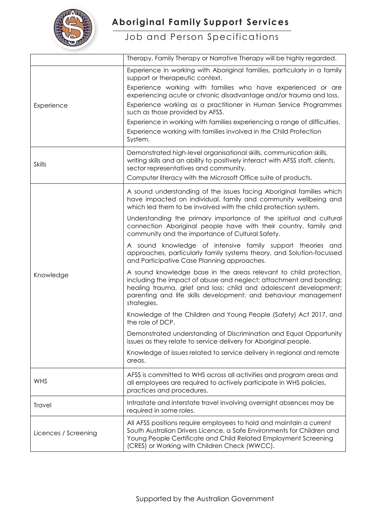

|                      | Therapy, Family Therapy or Narrative Therapy will be highly regarded.                                                                                                                                                                                                                                                                                                                                                                                                                                                 |
|----------------------|-----------------------------------------------------------------------------------------------------------------------------------------------------------------------------------------------------------------------------------------------------------------------------------------------------------------------------------------------------------------------------------------------------------------------------------------------------------------------------------------------------------------------|
| Experience           | Experience in working with Aboriginal families, particularly in a family<br>support or therapeutic context.<br>Experience working with families who have experienced or are<br>experiencing acute or chronic disadvantage and/or trauma and loss.<br>Experience working as a practitioner in Human Service Programmes<br>such as those provided by AFSS.<br>Experience in working with families experiencing a range of difficulties.<br>Experience working with families involved in the Child Protection<br>System. |
| <b>Skills</b>        | Demonstrated high-level organisational skills, communication skills,<br>writing skills and an ability to positively interact with AFSS staff, clients,<br>sector representatives and community.<br>Computer literacy with the Microsoft Office suite of products.                                                                                                                                                                                                                                                     |
| Knowledge            | A sound understanding of the issues facing Aboriginal families which<br>have impacted on individual, family and community wellbeing and<br>which led them to be involved with the child protection system.                                                                                                                                                                                                                                                                                                            |
|                      | Understanding the primary importance of the spiritual and cultural<br>connection Aboriginal people have with their country, family and<br>community and the importance of Cultural Safety.                                                                                                                                                                                                                                                                                                                            |
|                      | A sound knowledge of intensive family support theories and<br>approaches, particularly family systems theory, and Solution-focussed<br>and Participative Case Planning approaches.                                                                                                                                                                                                                                                                                                                                    |
|                      | A sound knowledge base in the areas relevant to child protection,<br>including the impact of abuse and neglect; attachment and bonding;<br>healing trauma, grief and loss; child and adolescent development;<br>parenting and life skills development; and behaviour management<br>strategies.                                                                                                                                                                                                                        |
|                      | Knowledge of the Children and Young People (Safety) Act 2017, and<br>the role of DCP.                                                                                                                                                                                                                                                                                                                                                                                                                                 |
|                      | Demonstrated understanding of Discrimination and Equal Opportunity<br>issues as they relate to service delivery for Aboriginal people.                                                                                                                                                                                                                                                                                                                                                                                |
|                      | Knowledge of issues related to service delivery in regional and remote<br>areas.                                                                                                                                                                                                                                                                                                                                                                                                                                      |
| <b>WHS</b>           | AFSS is committed to WHS across all activities and program areas and<br>all employees are required to actively participate in WHS policies,<br>practices and procedures.                                                                                                                                                                                                                                                                                                                                              |
| Travel               | Intrastate and interstate travel involving overnight absences may be<br>required in some roles.                                                                                                                                                                                                                                                                                                                                                                                                                       |
| Licences / Screening | All AFSS positions require employees to hold and maintain a current<br>South Australian Drivers Licence, a Safe Environments for Children and<br>Young People Certificate and Child Related Employment Screening<br>(CRES) or Working with Children Check (WWCC).                                                                                                                                                                                                                                                     |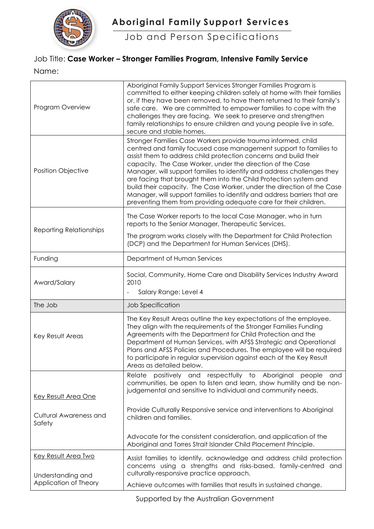

Job and Person Specifications

## Job Title: **Case Worker – Stronger Families Program, Intensive Family Service**

Name:

| Program Overview                           | Aboriginal Family Support Services Stronger Families Program is<br>committed to either keeping children safely at home with their families<br>or, if they have been removed, to have them returned to their family's<br>safe care. We are committed to empower families to cope with the<br>challenges they are facing. We seek to preserve and strengthen<br>family relationships to ensure children and young people live in safe,<br>secure and stable homes.                                                                                                                                                                              |
|--------------------------------------------|-----------------------------------------------------------------------------------------------------------------------------------------------------------------------------------------------------------------------------------------------------------------------------------------------------------------------------------------------------------------------------------------------------------------------------------------------------------------------------------------------------------------------------------------------------------------------------------------------------------------------------------------------|
| <b>Position Objective</b>                  | Stronger Families Case Workers provide trauma informed, child<br>centred and family focused case management support to families to<br>assist them to address child protection concerns and build their<br>capacity. The Case Worker, under the direction of the Case<br>Manager, will support families to identify and address challenges they<br>are facing that brought them into the Child Protection system and<br>build their capacity. The Case Worker, under the direction of the Case<br>Manager, will support families to identify and address barriers that are<br>preventing them from providing adequate care for their children. |
| <b>Reporting Relationships</b>             | The Case Worker reports to the local Case Manager, who in turn<br>reports to the Senior Manager, Therapeutic Services.<br>The program works closely with the Department for Child Protection                                                                                                                                                                                                                                                                                                                                                                                                                                                  |
|                                            | (DCP) and the Department for Human Services (DHS).                                                                                                                                                                                                                                                                                                                                                                                                                                                                                                                                                                                            |
| Funding                                    | Department of Human Services                                                                                                                                                                                                                                                                                                                                                                                                                                                                                                                                                                                                                  |
| Award/Salary                               | Social, Community, Home Care and Disability Services Industry Award<br>2010<br>Salary Range: Level 4                                                                                                                                                                                                                                                                                                                                                                                                                                                                                                                                          |
| The Job                                    | Job Specification                                                                                                                                                                                                                                                                                                                                                                                                                                                                                                                                                                                                                             |
| Key Result Areas                           | The Key Result Areas outline the key expectations of the employee.<br>They align with the requirements of the Stronger Families Funding<br>Agreements with the Department for Child Protection and the<br>Department of Human Services, with AFSS Strategic and Operational<br>Plans and AFSS Policies and Procedures. The employee will be required<br>to participate in regular supervision against each of the Key Result<br>Areas as detailed below.                                                                                                                                                                                      |
| Key Result Area One                        | positively and respectfully to Aboriginal<br>Relate<br>people<br>and<br>communities, be open to listen and learn, show humility and be non-<br>judgemental and sensitive to individual and community needs.                                                                                                                                                                                                                                                                                                                                                                                                                                   |
| Cultural Awareness and<br>Safety           | Provide Culturally Responsive service and interventions to Aboriginal<br>children and families.                                                                                                                                                                                                                                                                                                                                                                                                                                                                                                                                               |
|                                            | Advocate for the consistent consideration, and application of the<br>Aboriginal and Torres Strait Islander Child Placement Principle.                                                                                                                                                                                                                                                                                                                                                                                                                                                                                                         |
| <b>Key Result Area Two</b>                 | Assist families to identify, acknowledge and address child protection<br>concerns using a strengths and risks-based, family-centred and                                                                                                                                                                                                                                                                                                                                                                                                                                                                                                       |
| Understanding and<br>Application of Theory | culturally-responsive practice approach.<br>Achieve outcomes with families that results in sustained change.                                                                                                                                                                                                                                                                                                                                                                                                                                                                                                                                  |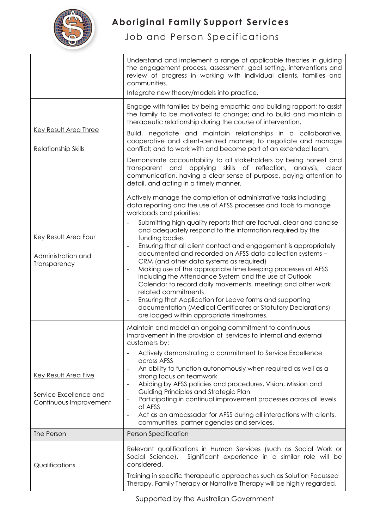

|                                                                          | Understand and implement a range of applicable theories in guiding<br>the engagement process, assessment, goal setting, interventions and<br>review of progress in working with individual clients, families and<br>communities.<br>Integrate new theory/models into practice.                                                                                                                                                                                                                                                                                                                                                                                                                                                                                                                                                                                                                                              |
|--------------------------------------------------------------------------|-----------------------------------------------------------------------------------------------------------------------------------------------------------------------------------------------------------------------------------------------------------------------------------------------------------------------------------------------------------------------------------------------------------------------------------------------------------------------------------------------------------------------------------------------------------------------------------------------------------------------------------------------------------------------------------------------------------------------------------------------------------------------------------------------------------------------------------------------------------------------------------------------------------------------------|
| <b>Key Result Area Three</b><br>Relationship Skills                      | Engage with families by being empathic and building rapport; to assist<br>the family to be motivated to change; and to build and maintain a<br>therapeutic relationship during the course of intervention.<br>Build, negotiate and maintain relationships in a collaborative,<br>cooperative and client-centred manner; to negotiate and manage<br>conflict; and to work with and become part of an extended team.<br>Demonstrate accountability to all stakeholders by being honest and<br>transparent and applying skills of reflection, analysis, clear<br>communication, having a clear sense of purpose, paying attention to<br>detail, and acting in a timely manner.                                                                                                                                                                                                                                                 |
| <b>Key Result Area Four</b><br>Administration and<br>Transparency        | Actively manage the completion of administrative tasks including<br>data reporting and the use of AFSS processes and tools to manage<br>workloads and priorities:<br>Submitting high quality reports that are factual, clear and concise<br>$\overline{\phantom{a}}$<br>and adequately respond to the information required by the<br>funding bodies<br>Ensuring that all client contact and engagement is appropriately<br>documented and recorded on AFSS data collection systems -<br>CRM (and other data systems as required)<br>Making use of the appropriate time keeping processes at AFSS<br>including the Attendance System and the use of Outlook<br>Calendar to record daily movements, meetings and other work<br>related commitments<br>Ensuring that Application for Leave forms and supporting<br>documentation (Medical Certificates or Statutory Declarations)<br>are lodged within appropriate timeframes. |
| Key Result Area Five<br>Service Excellence and<br>Continuous Improvement | Maintain and model an ongoing commitment to continuous<br>improvement in the provision of services to internal and external<br>customers by:<br>Actively demonstrating a commitment to Service Excellence<br>across AFSS<br>An ability to function autonomously when required as well as a<br>strong focus on teamwork<br>Abiding by AFSS policies and procedures, Vision, Mission and<br>$\blacksquare$<br>Guiding Principles and Strategic Plan<br>Participating in continual improvement processes across all levels<br>$\overline{\phantom{a}}$<br>of AFSS<br>Act as an ambassador for AFSS during all interactions with clients,<br>$\overline{\phantom{a}}$<br>communities, partner agencies and services.                                                                                                                                                                                                            |
| The Person                                                               | <b>Person Specification</b>                                                                                                                                                                                                                                                                                                                                                                                                                                                                                                                                                                                                                                                                                                                                                                                                                                                                                                 |
| Qualifications                                                           | Relevant qualifications in Human Services (such as Social Work or<br>Significant experience in a similar role will be<br>Social Science).<br>considered.<br>Training in specific therapeutic approaches such as Solution Focussed<br>Therapy, Family Therapy or Narrative Therapy will be highly regarded.                                                                                                                                                                                                                                                                                                                                                                                                                                                                                                                                                                                                                  |